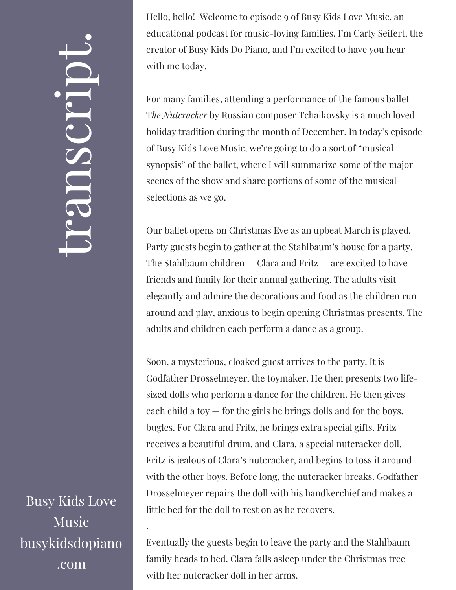Busy Kids Love Music busykidsdopiano .com

.

Hello, hello! Welcome to episode 9 of Busy Kids Love Music, an educational podcast for music-loving families. I'm Carly Seifert, the creator of Busy Kids Do Piano, and I'm excited to have you hear with me today.

For many families, attending a performance of the famous ballet T*he Nutcracker* by Russian composer Tchaikovsky is a much loved holiday tradition during the month of December. In today's episode of Busy Kids Love Music, we're going to do a sort of "musical synopsis" of the ballet, where I will summarize some of the major scenes of the show and share portions of some of the musical selections as we go.

Our ballet opens on Christmas Eve as an upbeat March is played. Party guests begin to gather at the Stahlbaum's house for a party. The Stahlbaum children  $-$  Clara and Fritz  $-$  are excited to have friends and family for their annual gathering. The adults visit elegantly and admire the decorations and food as the children run around and play, anxious to begin opening Christmas presents. The adults and children each perform a dance as a group.

Soon, a mysterious, cloaked guest arrives to the party. It is Godfather Drosselmeyer, the toymaker. He then presents two lifesized dolls who perform a dance for the children. He then gives each child a toy  $-$  for the girls he brings dolls and for the boys, bugles. For Clara and Fritz, he brings extra special gifts. Fritz receives a beautiful drum, and Clara, a special nutcracker doll. Fritz is jealous of Clara's nutcracker, and begins to toss it around with the other boys. Before long, the nutcracker breaks. Godfather Drosselmeyer repairs the doll with his handkerchief and makes a little bed for the doll to rest on as he recovers.

Eventually the guests begin to leave the party and the Stahlbaum family heads to bed. Clara falls asleep under the Christmas tree with her nutcracker doll in her arms.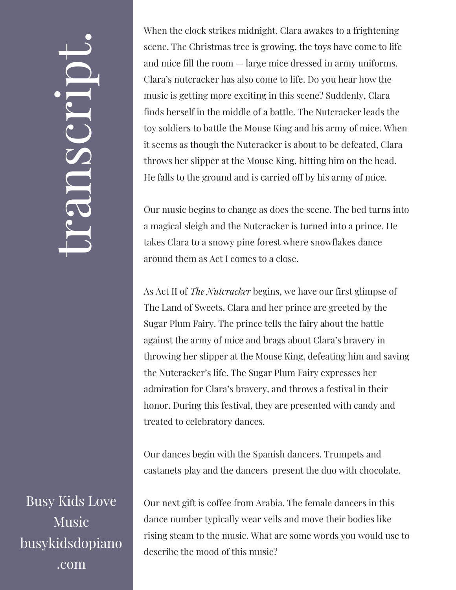Busy Kids Love Music busykidsdopiano .com

When the clock strikes midnight, Clara awakes to a frightening scene. The Christmas tree is growing, the toys have come to life and mice fill the room — large mice dressed in army uniforms. Clara's nutcracker has also come to life. Do you hear how the music is getting more exciting in this scene? Suddenly, Clara finds herself in the middle of a battle. The Nutcracker leads the toy soldiers to battle the Mouse King and his army of mice. When it seems as though the Nutcracker is about to be defeated, Clara throws her slipper at the Mouse King, hitting him on the head. He falls to the ground and is carried off by his army of mice.

Our music begins to change as does the scene. The bed turns into a magical sleigh and the Nutcracker is turned into a prince. He takes Clara to a snowy pine forest where snowflakes dance around them as Act I comes to a close.

As Act II of *The Nutcracker* begins, we have our first glimpse of The Land of Sweets. Clara and her prince are greeted by the Sugar Plum Fairy. The prince tells the fairy about the battle against the army of mice and brags about Clara's bravery in throwing her slipper at the Mouse King, defeating him and saving the Nutcracker's life. The Sugar Plum Fairy expresses her admiration for Clara's bravery, and throws a festival in their honor. During this festival, they are presented with candy and treated to celebratory dances.

Our dances begin with the Spanish dancers. Trumpets and castanets play and the dancers present the duo with chocolate.

Our next gift is coffee from Arabia. The female dancers in this dance number typically wear veils and move their bodies like rising steam to the music. What are some words you would use to describe the mood of this music?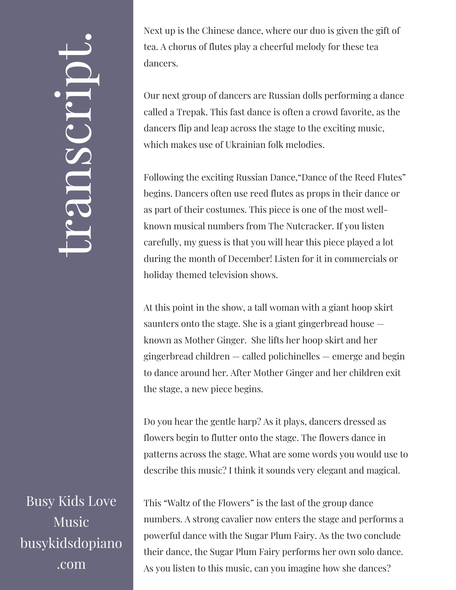Busy Kids Love Music busykidsdopiano .com

Next up is the Chinese dance, where our duo is given the gift of tea. A chorus of flutes play a cheerful melody for these tea dancers.

Our next group of dancers are Russian dolls performing a dance called a Trepak. This fast dance is often a crowd favorite, as the dancers flip and leap across the stage to the exciting music, which makes use of Ukrainian folk melodies.

Following the exciting Russian Dance,"Dance of the Reed Flutes" begins. Dancers often use reed flutes as props in their dance or as part of their costumes. This piece is one of the most wellknown musical numbers from The Nutcracker. If you listen carefully, my guess is that you will hear this piece played a lot during the month of December! Listen for it in commercials or holiday themed television shows.

At this point in the show, a tall woman with a giant hoop skirt saunters onto the stage. She is a giant gingerbread house known as Mother Ginger. She lifts her hoop skirt and her gingerbread children — called polichinelles — emerge and begin to dance around her. After Mother Ginger and her children exit the stage, a new piece begins.

Do you hear the gentle harp? As it plays, dancers dressed as flowers begin to flutter onto the stage. The flowers dance in patterns across the stage. What are some words you would use to describe this music? I think it sounds very elegant and magical.

This "Waltz of the Flowers" is the last of the group dance numbers. A strong cavalier now enters the stage and performs a powerful dance with the Sugar Plum Fairy. As the two conclude their dance, the Sugar Plum Fairy performs her own solo dance. As you listen to this music, can you imagine how she dances?